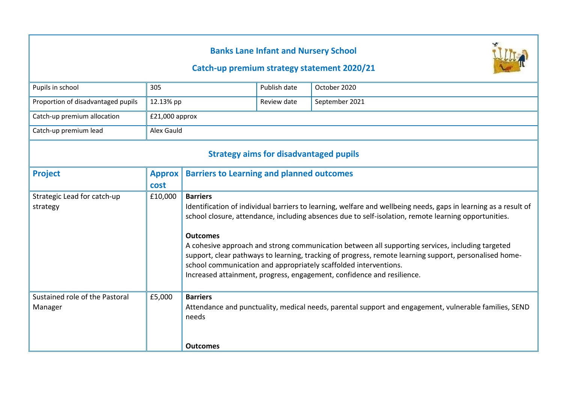# **Banks Lane Infant and Nursery School**

### **Catch-up premium strategy statement 2020/21**



| Pupils in school                              | 305              |                                                                                                                                                                                                                                                                                                                                                                                                                                                                                                                                                                                                                           | Publish date | October 2020                                                                                          |  |
|-----------------------------------------------|------------------|---------------------------------------------------------------------------------------------------------------------------------------------------------------------------------------------------------------------------------------------------------------------------------------------------------------------------------------------------------------------------------------------------------------------------------------------------------------------------------------------------------------------------------------------------------------------------------------------------------------------------|--------------|-------------------------------------------------------------------------------------------------------|--|
| Proportion of disadvantaged pupils            | 12.13% pp        |                                                                                                                                                                                                                                                                                                                                                                                                                                                                                                                                                                                                                           | Review date  | September 2021                                                                                        |  |
| Catch-up premium allocation                   | $£21,000$ approx |                                                                                                                                                                                                                                                                                                                                                                                                                                                                                                                                                                                                                           |              |                                                                                                       |  |
| Catch-up premium lead                         | Alex Gauld       |                                                                                                                                                                                                                                                                                                                                                                                                                                                                                                                                                                                                                           |              |                                                                                                       |  |
| <b>Strategy aims for disadvantaged pupils</b> |                  |                                                                                                                                                                                                                                                                                                                                                                                                                                                                                                                                                                                                                           |              |                                                                                                       |  |
| <b>Project</b>                                | <b>Approx</b>    | <b>Barriers to Learning and planned outcomes</b>                                                                                                                                                                                                                                                                                                                                                                                                                                                                                                                                                                          |              |                                                                                                       |  |
|                                               | cost             |                                                                                                                                                                                                                                                                                                                                                                                                                                                                                                                                                                                                                           |              |                                                                                                       |  |
| Strategic Lead for catch-up<br>strategy       | £10,000          | <b>Barriers</b><br>Identification of individual barriers to learning, welfare and wellbeing needs, gaps in learning as a result of<br>school closure, attendance, including absences due to self-isolation, remote learning opportunities.<br><b>Outcomes</b><br>A cohesive approach and strong communication between all supporting services, including targeted<br>support, clear pathways to learning, tracking of progress, remote learning support, personalised home-<br>school communication and appropriately scaffolded interventions.<br>Increased attainment, progress, engagement, confidence and resilience. |              |                                                                                                       |  |
| Sustained role of the Pastoral<br>Manager     | £5,000           | <b>Barriers</b><br>needs<br><b>Outcomes</b>                                                                                                                                                                                                                                                                                                                                                                                                                                                                                                                                                                               |              | Attendance and punctuality, medical needs, parental support and engagement, vulnerable families, SEND |  |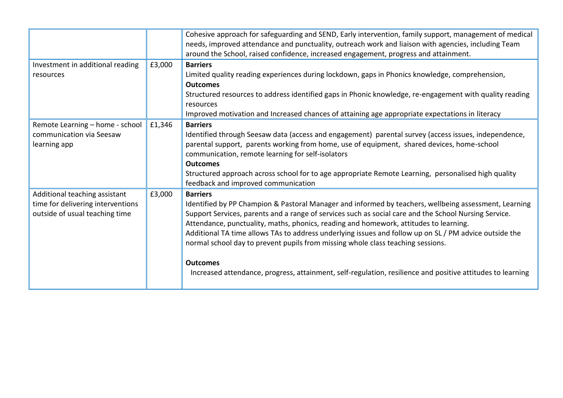|        | Cohesive approach for safeguarding and SEND, Early intervention, family support, management of medical     |  |  |
|--------|------------------------------------------------------------------------------------------------------------|--|--|
|        | needs, improved attendance and punctuality, outreach work and liaison with agencies, including Team        |  |  |
|        | around the School, raised confidence, increased engagement, progress and attainment.                       |  |  |
| £3,000 | <b>Barriers</b>                                                                                            |  |  |
|        | Limited quality reading experiences during lockdown, gaps in Phonics knowledge, comprehension,             |  |  |
|        | <b>Outcomes</b>                                                                                            |  |  |
|        | Structured resources to address identified gaps in Phonic knowledge, re-engagement with quality reading    |  |  |
|        | resources                                                                                                  |  |  |
|        | Improved motivation and Increased chances of attaining age appropriate expectations in literacy            |  |  |
| £1,346 | <b>Barriers</b>                                                                                            |  |  |
|        | Identified through Seesaw data (access and engagement) parental survey (access issues, independence,       |  |  |
|        | parental support, parents working from home, use of equipment, shared devices, home-school                 |  |  |
|        | communication, remote learning for self-isolators                                                          |  |  |
|        | <b>Outcomes</b>                                                                                            |  |  |
|        | Structured approach across school for to age appropriate Remote Learning, personalised high quality        |  |  |
|        | feedback and improved communication                                                                        |  |  |
| £3,000 | <b>Barriers</b>                                                                                            |  |  |
|        | Identified by PP Champion & Pastoral Manager and informed by teachers, wellbeing assessment, Learning      |  |  |
|        | Support Services, parents and a range of services such as social care and the School Nursing Service.      |  |  |
|        | Attendance, punctuality, maths, phonics, reading and homework, attitudes to learning.                      |  |  |
|        | Additional TA time allows TAs to address underlying issues and follow up on SL / PM advice outside the     |  |  |
|        | normal school day to prevent pupils from missing whole class teaching sessions.                            |  |  |
|        |                                                                                                            |  |  |
|        | <b>Outcomes</b>                                                                                            |  |  |
|        | Increased attendance, progress, attainment, self-regulation, resilience and positive attitudes to learning |  |  |
|        |                                                                                                            |  |  |
|        |                                                                                                            |  |  |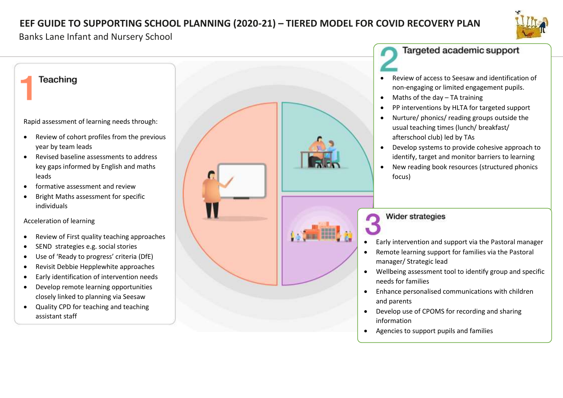# **EEF GUIDE TO SUPPORTING SCHOOL PLANNING (2020-21) – TIERED MODEL FOR COVID RECOVERY PLAN**



#### Banks Lane Infant and Nursery School

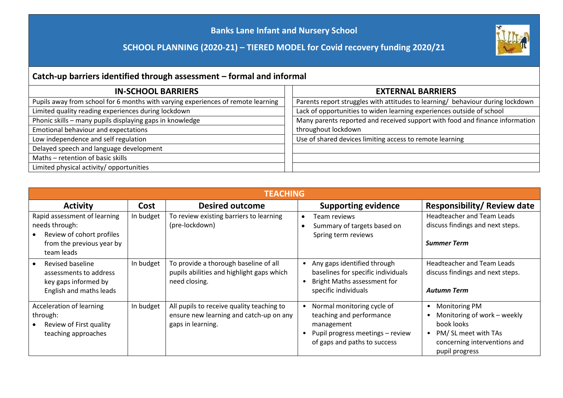### **Banks Lane Infant and Nursery School**

### **SCHOOL PLANNING (2020-21) – TIERED MODEL for Covid recovery funding 2020/21**



# **Catch-up barriers identified through assessment – formal and informal**

| <b>IN-SCHOOL BARRIERS</b>                                                        | <b>EXTERNAL BARRIERS</b>                                                       |  |
|----------------------------------------------------------------------------------|--------------------------------------------------------------------------------|--|
| Pupils away from school for 6 months with varying experiences of remote learning | Parents report struggles with attitudes to learning/ behaviour during lockdown |  |
| Limited quality reading experiences during lockdown                              | Lack of opportunities to widen learning experiences outside of school          |  |
| Phonic skills - many pupils displaying gaps in knowledge                         | Many parents reported and received support with food and finance information   |  |
| Emotional behaviour and expectations                                             | throughout lockdown                                                            |  |
| Low independence and self regulation                                             | Use of shared devices limiting access to remote learning                       |  |
| Delayed speech and language development                                          |                                                                                |  |
| Maths - retention of basic skills                                                |                                                                                |  |
| Limited physical activity/ opportunities                                         |                                                                                |  |

| <b>TEACHING</b>                                                                                                        |           |                                                                                                           |                                                                                                                                          |                                                                                                                                                 |
|------------------------------------------------------------------------------------------------------------------------|-----------|-----------------------------------------------------------------------------------------------------------|------------------------------------------------------------------------------------------------------------------------------------------|-------------------------------------------------------------------------------------------------------------------------------------------------|
| <b>Activity</b>                                                                                                        | Cost      | <b>Desired outcome</b>                                                                                    | <b>Supporting evidence</b>                                                                                                               | <b>Responsibility/ Review date</b>                                                                                                              |
| Rapid assessment of learning<br>needs through:<br>Review of cohort profiles<br>from the previous year by<br>team leads | In budget | To review existing barriers to learning<br>(pre-lockdown)                                                 | Team reviews<br>Summary of targets based on<br>Spring term reviews                                                                       | <b>Headteacher and Team Leads</b><br>discuss findings and next steps.<br><b>Summer Term</b>                                                     |
| Revised baseline<br>assessments to address<br>key gaps informed by<br>English and maths leads                          | In budget | To provide a thorough baseline of all<br>pupils abilities and highlight gaps which<br>need closing.       | Any gaps identified through<br>$\bullet$<br>baselines for specific individuals<br>Bright Maths assessment for<br>specific individuals    | Headteacher and Team Leads<br>discuss findings and next steps.<br><b>Autumn Term</b>                                                            |
| Acceleration of learning<br>through:<br>Review of First quality<br>teaching approaches                                 | In budget | All pupils to receive quality teaching to<br>ensure new learning and catch-up on any<br>gaps in learning. | Normal monitoring cycle of<br>teaching and performance<br>management<br>Pupil progress meetings - review<br>of gaps and paths to success | <b>Monitoring PM</b><br>٠<br>Monitoring of work - weekly<br>book looks<br>PM/SL meet with TAs<br>concerning interventions and<br>pupil progress |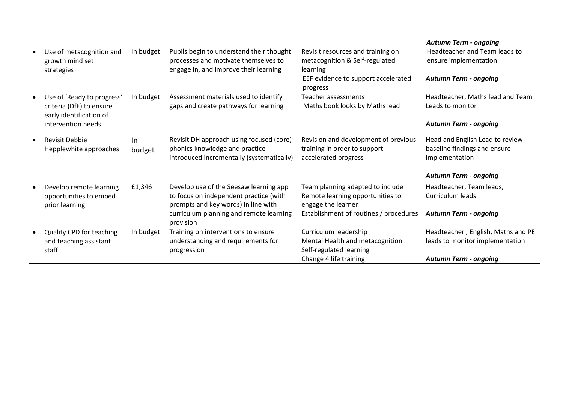|                                                                                                         |                 |                                                                                                                                                                                 |                                                                                                                                      | <b>Autumn Term - ongoing</b>                                                                                      |
|---------------------------------------------------------------------------------------------------------|-----------------|---------------------------------------------------------------------------------------------------------------------------------------------------------------------------------|--------------------------------------------------------------------------------------------------------------------------------------|-------------------------------------------------------------------------------------------------------------------|
| Use of metacognition and<br>growth mind set<br>strategies                                               | In budget       | Pupils begin to understand their thought<br>processes and motivate themselves to<br>engage in, and improve their learning                                                       | Revisit resources and training on<br>metacognition & Self-regulated<br>learning<br>EEF evidence to support accelerated<br>progress   | Headteacher and Team leads to<br>ensure implementation<br><b>Autumn Term - ongoing</b>                            |
| Use of 'Ready to progress'<br>criteria (DfE) to ensure<br>early identification of<br>intervention needs | In budget       | Assessment materials used to identify<br>gaps and create pathways for learning                                                                                                  | Teacher assessments<br>Maths book looks by Maths lead                                                                                | Headteacher, Maths lead and Team<br>Leads to monitor<br><b>Autumn Term - ongoing</b>                              |
| <b>Revisit Debbie</b><br>Hepplewhite approaches                                                         | $\ln$<br>budget | Revisit DH approach using focused (core)<br>phonics knowledge and practice<br>introduced incrementally (systematically)                                                         | Revision and development of previous<br>training in order to support<br>accelerated progress                                         | Head and English Lead to review<br>baseline findings and ensure<br>implementation<br><b>Autumn Term - ongoing</b> |
| Develop remote learning<br>opportunities to embed<br>prior learning                                     | £1,346          | Develop use of the Seesaw learning app<br>to focus on independent practice (with<br>prompts and key words) in line with<br>curriculum planning and remote learning<br>provision | Team planning adapted to include<br>Remote learning opportunities to<br>engage the learner<br>Establishment of routines / procedures | Headteacher, Team leads,<br>Curriculum leads<br><b>Autumn Term - ongoing</b>                                      |
| Quality CPD for teaching<br>and teaching assistant<br>staff                                             | In budget       | Training on interventions to ensure<br>understanding and requirements for<br>progression                                                                                        | Curriculum leadership<br>Mental Health and metacognition<br>Self-regulated learning<br>Change 4 life training                        | Headteacher, English, Maths and PE<br>leads to monitor implementation<br><b>Autumn Term - ongoing</b>             |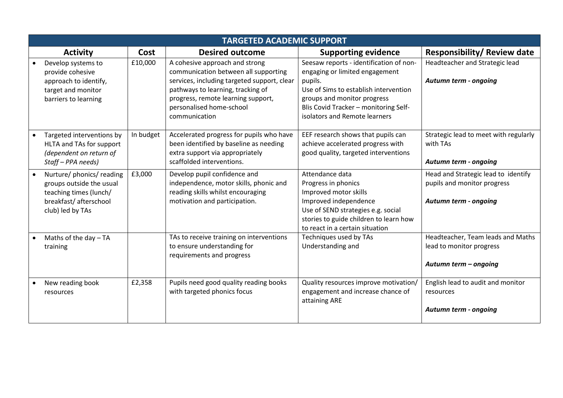| <b>TARGETED ACADEMIC SUPPORT</b>                                                                                              |           |                                                                                                                                                                                                                                               |                                                                                                                                                                                                                                        |                                                                                             |  |
|-------------------------------------------------------------------------------------------------------------------------------|-----------|-----------------------------------------------------------------------------------------------------------------------------------------------------------------------------------------------------------------------------------------------|----------------------------------------------------------------------------------------------------------------------------------------------------------------------------------------------------------------------------------------|---------------------------------------------------------------------------------------------|--|
| <b>Activity</b>                                                                                                               | Cost      | <b>Desired outcome</b>                                                                                                                                                                                                                        | <b>Supporting evidence</b>                                                                                                                                                                                                             | <b>Responsibility/ Review date</b>                                                          |  |
| Develop systems to<br>provide cohesive<br>approach to identify,<br>target and monitor<br>barriers to learning                 | £10,000   | A cohesive approach and strong<br>communication between all supporting<br>services, including targeted support, clear<br>pathways to learning, tracking of<br>progress, remote learning support,<br>personalised home-school<br>communication | Seesaw reports - identification of non-<br>engaging or limited engagement<br>pupils.<br>Use of Sims to establish intervention<br>groups and monitor progress<br>Blis Covid Tracker - monitoring Self-<br>isolators and Remote learners | Headteacher and Strategic lead<br>Autumn term - ongoing                                     |  |
| Targeted interventions by<br>HLTA and TAs for support<br>(dependent on return of<br>Staff - PPA needs)                        | In budget | Accelerated progress for pupils who have<br>been identified by baseline as needing<br>extra support via appropriately<br>scaffolded interventions.                                                                                            | EEF research shows that pupils can<br>achieve accelerated progress with<br>good quality, targeted interventions                                                                                                                        | Strategic lead to meet with regularly<br>with TAs<br>Autumn term - ongoing                  |  |
| Nurture/ phonics/ reading<br>groups outside the usual<br>teaching times (lunch/<br>breakfast/ afterschool<br>club) led by TAs | £3,000    | Develop pupil confidence and<br>independence, motor skills, phonic and<br>reading skills whilst encouraging<br>motivation and participation.                                                                                                  | Attendance data<br>Progress in phonics<br>Improved motor skills<br>Improved independence<br>Use of SEND strategies e.g. social<br>stories to guide children to learn how<br>to react in a certain situation                            | Head and Strategic lead to identify<br>pupils and monitor progress<br>Autumn term - ongoing |  |
| Maths of the day - TA<br>training                                                                                             |           | TAs to receive training on interventions<br>to ensure understanding for<br>requirements and progress                                                                                                                                          | Techniques used by TAs<br>Understanding and                                                                                                                                                                                            | Headteacher, Team leads and Maths<br>lead to monitor progress<br>Autumn term - ongoing      |  |
| New reading book<br>resources                                                                                                 | £2,358    | Pupils need good quality reading books<br>with targeted phonics focus                                                                                                                                                                         | Quality resources improve motivation/<br>engagement and increase chance of<br>attaining ARE                                                                                                                                            | English lead to audit and monitor<br>resources<br>Autumn term - ongoing                     |  |